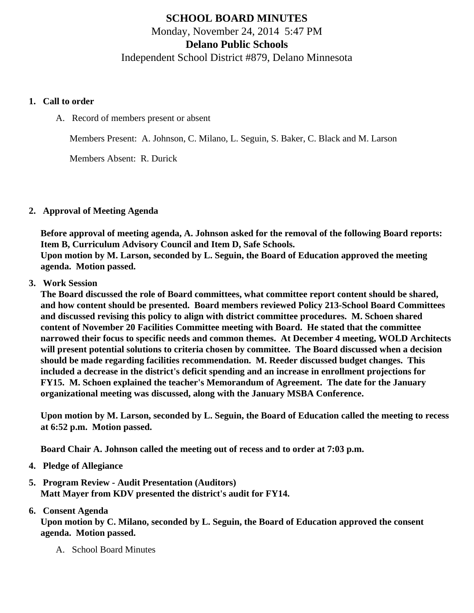# SCHOOL BOARD MINUTES Monday, November 24, 2014 5:47 PM Delano Public Schools Independent School District #879, Delano Minnesota

- 1. Call to order
	- A. Record of members present or absent

Members Present: A. Johnson, C. Milano, L. Seguin, S. Baker, C. Black and M. Larson

Members Absent: R. Durick

# 2. Approval of Meeting Agenda

Before approval of meeting agenda, A. Johnson asked for the removal of the following Board reports: Item B, Curriculum Advisory Council and Item D, Safe Schools. Upon motion by M. Larson, seconded by L. Seguin, the Board of Education approved the meeting agenda. Motion passed.

# 3. Work Session

The Board discussed the role of Board committees, what committee report content should be shared, and how content should be presented. Board members reviewed Policy 213-School Board Committees and discussed revising this policy to align with district committee procedures. M. Schoen shared content of November 20 Facilities Committee meeting with Board. He stated that the committee narrowed their focus to specific needs and common themes. At December 4 meeting, WOLD Architects will present potential solutions to criteria chosen by committee. The Board discussed when a decision should be made regarding facilities recommendation. M. Reeder discussed budget changes. This included a decrease in the district's deficit spending and an increase in enrollment projections for FY15. M. Schoen explained the teacher's Memorandum of Agreement. The date for the January organizational meeting was discussed, along with the January MSBA Conference.

Upon motion by M. Larson, seconded by L. Seguin, the Board of Education called the meeting to recess at 6:52 p.m. Motion passed.

Board Chair A. Johnson called the meeting out of recess and to order at 7:03 p.m.

- 4. Pledge of Allegiance
- 5. Program Review - [Audit Presentation](/docs/district/Business_Office/FY14_Audit_Presentation.pdf) (Auditors) Matt Mayer from KDV presented the district's audit for FY14.

# 6. Consent Agenda

Upon motion by C. Milano, seconded by L. Seguin, the Board of Education approved the consent agenda. Motion passed.

A. School Board Minutes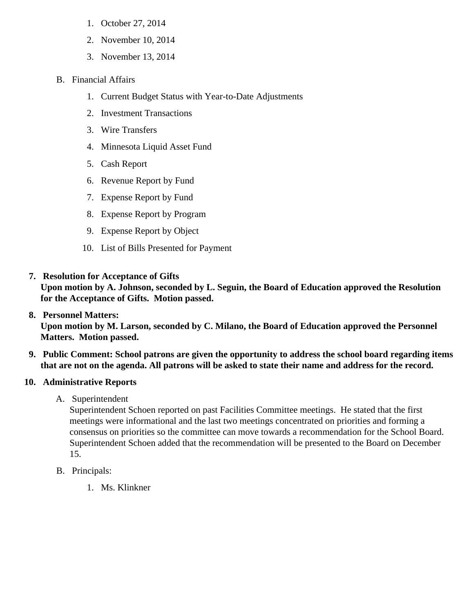- 1. [October 27, 201](/docs/district/District_Forms/School_Board_Minutes_October_27,_2014_FINAL.pdf)4
- 2. [November 10, 201](/docs/district/District_Forms/Special_Meeting_Notice_Canvass_-_November_10.pdf)4
- 3. [November 13, 201](/docs/district/District_Forms/Special_Meeting_Notice_Facilties_Committee-November_13.pdf)4
- B. Financial Affairs
	- 1. [Current Budget Status with Year-to-Date Adjustm](/docs/district/Business_Office/Budget_Report_Nov_14.pdf)ents
	- 2. [Investment Transactio](/docs/district/Business_Office/Investment_schedule_14-15.pdf )ns
	- 3. [Wire Transfer](/docs/district/Business_Office/Wire_Transfer.pdf )s
	- 4. [Minnesota Liquid Asset Fun](/docs/district/Business_Office/Liquid_Asset_Fund_FY15.pdf  )d
	- 5. [Cash Repo](/docs/district/Business_Office/Cash_Report.pdf )rt
	- 6. [Revenue Report by Fu](/docs/district/Business_Office/SCHOOL_BOARD_REPORTS_-_REVENUE_BY_FUND_TOTAL__(Date__6_2015).pdf)nd
	- 7. [Expense Report by Fu](/docs/district/Business_Office/SCHOOL_BOARD_REPORTS_-_EXP_BY_FUND_TOTAL__(Date__6_2015).pdf)nd
	- 8. [Expense Report by Progra](/docs/district/Business_Office/SCHOOL_BOARD_REPORTS_-_EXPENDITURES_BY_PROGRAM__(Date__6_2015).pdf)m
	- 9. [Expense Report by Obje](/docs/district/Business_Office/SCHOOL_BOARD_REPORTS_-_EXPENDITURES_BY_OBJECT__(Date__6_2015).pdf)ct
	- 10. [List of Bills Presented for Payme](/docs/district/Business_Office/Detail_of_Bills_Paid.pdf)nt
- 7. [Resolution for Acceptance of Gifts](/docs/district/Business_Office/Resolution_for_Acceptance_of_Gifts_11.24.14.pdf) Upon motion by A. Johnson, seconded by L. Seguin, the Board of Education approved the Resolution for the Acceptance of Gifts. Motion passed.
- 8. [Personnel Matters:](/docs/district/HR/November_24,_2014_Personnel_Items.pdf) Upon motion by M. Larson, seconded by C. Milano, the Board of Education approved the Personnel Matters. Motion passed.
- 9. Public Comment: School patrons are given the opportunity to address the school board regarding items that are not on the agenda. All patrons will be asked to state their name and address for the record.
- 10. Administrative Reports
	- A. Superintendent

Superintendent Schoen reported on past Facilities Committee meetings. He stated that the first meetings were informational and the last two meetings concentrated on priorities and forming a consensus on priorities so the committee can move towards a recommendation for the School Board. Superintendent Schoen added that the recommendation will be presented to the Board on Decemb 15.

- B. Principals:
	- 1. Ms. Klinkner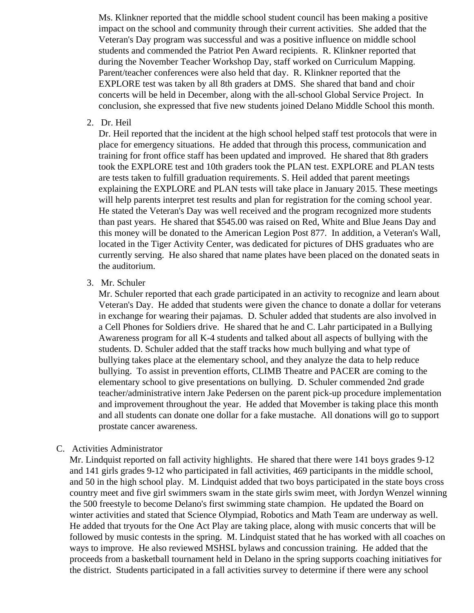Ms. Klinkner reported that the middle school student council has been making a positive impact on the school and community through their current activities. She added that the Veteran's Day program was successful and was a positive influence on middle school students and commended the Patriot Pen Award recipients. R. Klinkner reported that during the November Teacher Workshop Day, staff worked on Curriculum Mapping. Parent/teacher conferences were also held that day. R. Klinkner reported that the EXPLORE test was taken by all 8th graders at DMS. She shared that band and choir concerts will be held in December, along with the all-school Global Service Project. In conclusion, she expressed that five new students joined Delano Middle School this month.

2. Dr. Heil

Dr. Heil reported that the incident at the high school helped staff test protocols that were in place for emergency situations. He added that through this process, communication and training for front office staff has been updated and improved. He shared that 8th graders took the EXPLORE test and 10th graders took the PLAN test. EXPLORE and PLAN tests are tests taken to fulfill graduation requirements. S. Heil added that parent meetings explaining the EXPLORE and PLAN tests will take place in January 2015. These meetings will help parents interpret test results and plan for registration for the coming school year. He stated the Veteran's Day was well received and the program recognized more students than past years. He shared that \$545.00 was raised on Red, White and Blue Jeans Day and this money will be donated to the American Legion Post 877. In addition, a Veteran's Wall, located in the Tiger Activity Center, was dedicated for pictures of DHS graduates who are currently serving. He also shared that name plates have been placed on the donated seats in the auditorium.

3. Mr. Schuler

Mr. Schuler reported that each grade participated in an activity to recognize and learn about Veteran's Day. He added that students were given the chance to donate a dollar for veterans in exchange for wearing their pajamas. D. Schuler added that students are also involved in a Cell Phones for Soldiers drive. He shared that he and C. Lahr participated in a Bullying Awareness program for all K-4 students and talked about all aspects of bullying with the students. D. Schuler added that the staff tracks how much bullying and what type of bullying takes place at the elementary school, and they analyze the data to help reduce bullying. To assist in prevention efforts, CLIMB Theatre and PACER are coming to the elementary school to give presentations on bullying. D. Schuler commended 2nd grade teacher/administrative intern Jake Pedersen on the parent pick-up procedure implementation and improvement throughout the year. He added that Movember is taking place this month and all students can donate one dollar for a fake mustache. All donations will go to support prostate cancer awareness.

#### C. Activities Administrator

Mr. Lindquist reported on fall activity highlights. He shared that there were 141 boys grades 9-12 and 141 girls grades 9-12 who participated in fall activities, 469 participants in the middle school, and 50 in the high school play. M. Lindquist added that two boys participated in the state boys cross country meet and five girl swimmers swam in the state girls swim meet, with Jordyn Wenzel winning the 500 freestyle to become Delano's first swimming state champion. He updated the Board on winter activities and stated that Science Olympiad, Robotics and Math Team are underway as well. He added that tryouts for the One Act Play are taking place, along with music concerts that will be followed by music contests in the spring. M. Lindquist stated that he has worked with all coaches on ways to improve. He also reviewed MSHSL bylaws and concussion training. He added that the proceeds from a basketball tournament held in Delano in the spring supports coaching initiatives for the district. Students participated in a fall activities survey to determine if there were any school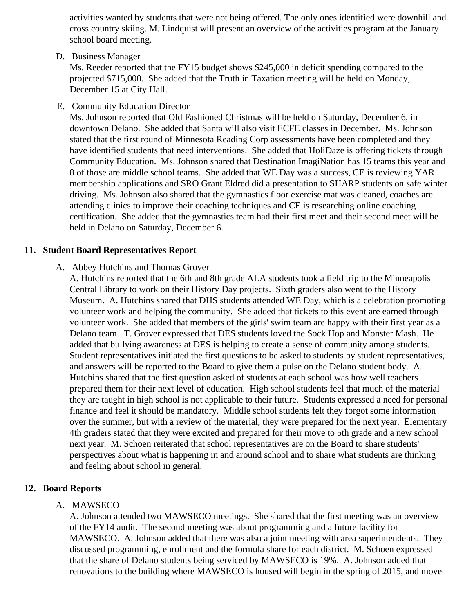activities wanted by students that were not being offered. The only ones identified were downhill ar cross country skiing. M. Lindquist will present an overview of the activities program at the January school board meeting.

D. Business Manager

Ms. Reeder reported that the FY15 budget shows \$245,000 in deficit spending compared to the projected \$715,000. She added that the Truth in Taxation meeting will be held on Monday, December 15 at City Hall.

E. Community Education Director

Ms. Johnson reported that Old Fashioned Christmas will be held on Saturday, December 6, in downtown Delano. She added that Santa will also visit ECFE classes in December. Ms. Johnson stated that the first round of Minnesota Reading Corp assessments have been completed and they have identified students that need interventions. She added that HoliDaze is offering tickets through Community Education. Ms. Johnson shared that Destination ImagiNation has 15 teams this year and 8 of those are middle school teams. She added that WE Day was a success, CE is reviewing YAR membership applications and SRO Grant Eldred did a presentation to SHARP students on safe wire driving. Ms. Johnson also shared that the gymnastics floor exercise mat was cleaned, coaches are attending clinics to improve their coaching techniques and CE is researching online coaching certification. She added that the gymnastics team had their first meet and their second meet will be held in Delano on Saturday, December 6.

# 11. Student Board Representatives Report

A. [Abbey Hutchins and Thomas Gro](/docs/district/2014_15/School_Board_monthly_Topics_and_Questions.pdf)ver

A. Hutchins reported that the 6th and 8th grade ALA students took a field trip to the Minneapolis Central Library to work on their History Day projects. Sixth graders also went to the History Museum. A. Hutchins shared that DHS students attended WE Day, which is a celebration promoting volunteer work and helping the community. She added that tickets to this event are earned through volunteer work. She added that members of the girls' swim team are happy with their first year as Delano team. T. Grover expressed that DES students loved the Sock Hop and Monster Mash. He added that bullying awareness at DES is helping to create a sense of community among students. Student representatives initiated the first questions to be asked to students by student representations. and answers will be reported to the Board to give them a pulse on the Delano student body. A. Hutchins shared that the first question asked of students at each school was how well teachers prepared them for their next level of education. High school students feel that much of the materia they are taught in high school is not applicable to their future. Students expressed a need for perse finance and feel it should be mandatory. Middle school students felt they forgot some information over the summer, but with a review of the material, they were prepared for the next year. Elementary 4th graders stated that they were excited and prepared for their move to 5th grade and a new scho next year. M. Schoen reiterated that school representatives are on the Board to share students' perspectives about what is happening in and around school and to share what students are thinking and feeling about school in general.

- 12. Board Reports
	- A. MAWSECO

A. Johnson attended two MAWSECO meetings. She shared that the first meeting was an overview of the FY14 audit. The second meeting was about programming and a future facility for MAWSECO. A. Johnson added that there was also a joint meeting with area superintendents. The discussed programming, enrollment and the formula share for each district. M. Schoen expressed that the share of Delano students being serviced by MAWSECO is 19%. A. Johnson added that renovations to the building where MAWSECO is housed will begin in the spring of 2015, and move